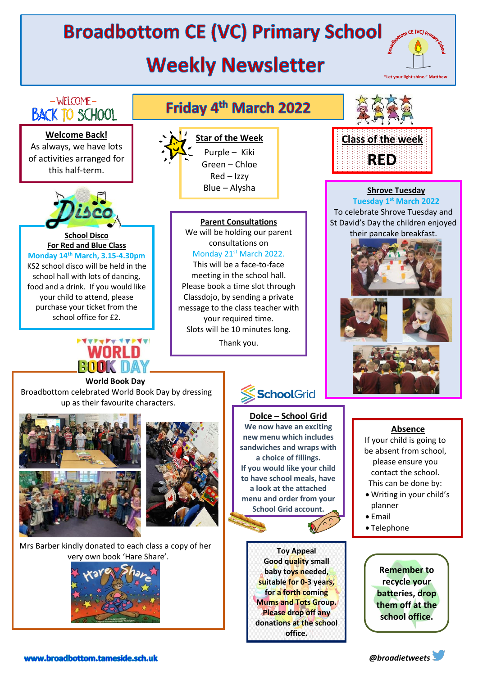# **Broadbottom CE (VC) Primary School**

## **Weekly Newsletter**



### $-WELCOME -$ **BACK TO SCHOOL**

**Welcome Back!** As always, we have lots of activities arranged for this half-term.



#### **School Disco For Red and Blue Class Monday 14th March, 3.15-4.30pm** KS2 school disco will be held in the school hall with lots of dancing, food and a drink. If you would like your child to attend, please

purchase your ticket from the school office for £2.

# /NRL N

### Friday 4th March 2022



**Star of the Week** Purple – Kiki Green – Chloe Red – Izzy Blue – Alysha

#### **Parent Consultations**

We will be holding our parent consultations on Monday 21st March 2022.

This will be a face-to-face meeting in the school hall. Please book a time slot through Classdojo, by sending a private message to the class teacher with your required time. Slots will be 10 minutes long.

Thank you.



**5:16**



#### **Shrove Tuesday**

**Tuesday 1st March 2022** To celebrate Shrove Tuesday and St David's Day the children enjoyed their pancake breakfast.



#### **World Book Day**

Broadbottom celebrated World Book Day by dressing up as their favourite characters.





Mrs Barber kindly donated to each class a copy of her very own book 'Hare Share'.



### SchoolGrid

#### **Dolce – School Grid**

**We now have an exciting new menu which includes sandwiches and wraps with a choice of fillings. If you would like your child to have school meals, have a look at the attached menu and order from your School Grid account.** 



#### **Absence**

If your child is going to be absent from school, please ensure you contact the school. This can be done by:

- Writing in your child's planner
- Email
- Telephone